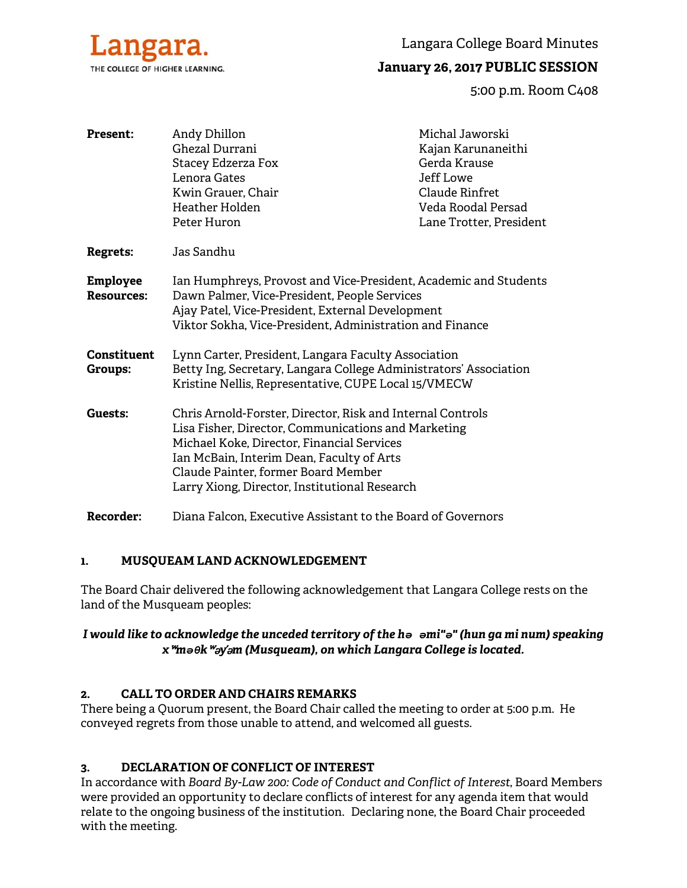

Langara College Board Minutes

# **January 26, 2017 PUBLIC SESSION**

5:00 p.m. Room C408

| <b>Present:</b>                      | Andy Dhillon<br>Ghezal Durrani<br>Stacey Edzerza Fox<br>Lenora Gates<br>Kwin Grauer, Chair<br>Heather Holden<br>Peter Huron                                                                                                                                                                          | Michal Jaworski<br>Kajan Karunaneithi<br>Gerda Krause<br>Jeff Lowe<br>Claude Rinfret<br>Veda Roodal Persad<br>Lane Trotter, President |
|--------------------------------------|------------------------------------------------------------------------------------------------------------------------------------------------------------------------------------------------------------------------------------------------------------------------------------------------------|---------------------------------------------------------------------------------------------------------------------------------------|
| <b>Regrets:</b>                      | Jas Sandhu                                                                                                                                                                                                                                                                                           |                                                                                                                                       |
| <b>Employee</b><br><b>Resources:</b> | Ian Humphreys, Provost and Vice-President, Academic and Students<br>Dawn Palmer, Vice-President, People Services<br>Ajay Patel, Vice-President, External Development<br>Viktor Sokha, Vice-President, Administration and Finance                                                                     |                                                                                                                                       |
| <b>Constituent</b><br><b>Groups:</b> | Lynn Carter, President, Langara Faculty Association<br>Betty Ing, Secretary, Langara College Administrators' Association<br>Kristine Nellis, Representative, CUPE Local 15/VMECW                                                                                                                     |                                                                                                                                       |
| Guests:                              | Chris Arnold-Forster, Director, Risk and Internal Controls<br>Lisa Fisher, Director, Communications and Marketing<br>Michael Koke, Director, Financial Services<br>Ian McBain, Interim Dean, Faculty of Arts<br>Claude Painter, former Board Member<br>Larry Xiong, Director, Institutional Research |                                                                                                                                       |
| <b>Recorder:</b>                     | Diana Falcon, Executive Assistant to the Board of Governors                                                                                                                                                                                                                                          |                                                                                                                                       |

### **1. MUSQUEAM LAND ACKNOWLEDGEMENT**

The Board Chair delivered the following acknowledgement that Langara College rests on the land of the Musqueam peoples:

### *I would like to acknowledge the unceded territory of the hə əmi"ə" (hun ga mi num) speaking x*ʷ*məθk*ʷə*y*̓ə*m (Musqueam), on which Langara College is located.*

### **2. CALL TO ORDER AND CHAIRS REMARKS**

There being a Quorum present, the Board Chair called the meeting to order at 5:00 p.m. He conveyed regrets from those unable to attend, and welcomed all guests.

### **3. DECLARATION OF CONFLICT OF INTEREST**

In accordance with *Board By-Law 200: Code of Conduct and Conflict of Interest*, Board Members were provided an opportunity to declare conflicts of interest for any agenda item that would relate to the ongoing business of the institution. Declaring none, the Board Chair proceeded with the meeting.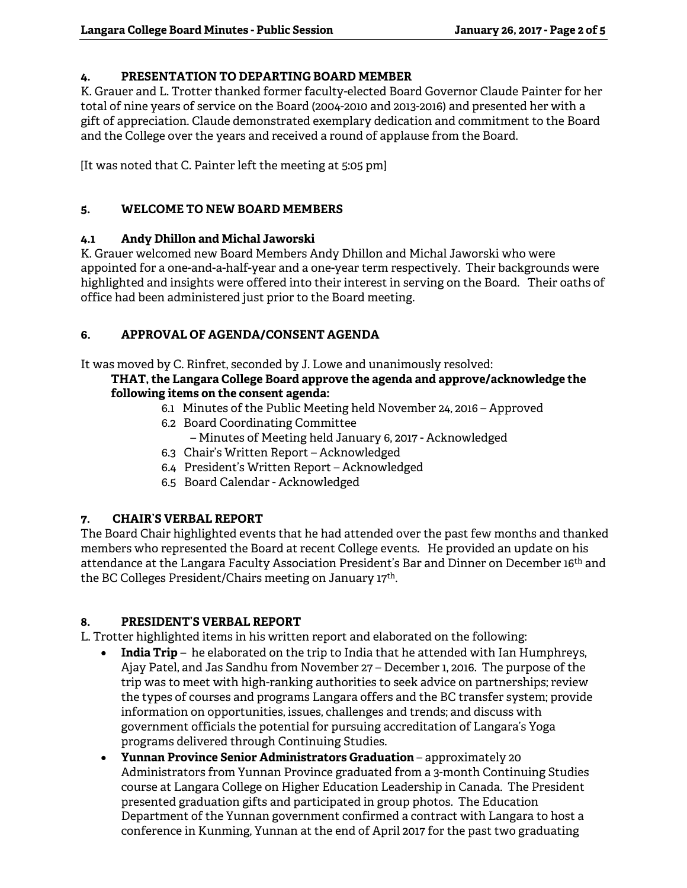## **4. PRESENTATION TO DEPARTING BOARD MEMBER**

K. Grauer and L. Trotter thanked former faculty-elected Board Governor Claude Painter for her total of nine years of service on the Board (2004-2010 and 2013-2016) and presented her with a gift of appreciation. Claude demonstrated exemplary dedication and commitment to the Board and the College over the years and received a round of applause from the Board.

[It was noted that C. Painter left the meeting at 5:05 pm]

## **5. WELCOME TO NEW BOARD MEMBERS**

### **4.1 Andy Dhillon and Michal Jaworski**

K. Grauer welcomed new Board Members Andy Dhillon and Michal Jaworski who were appointed for a one-and-a-half-year and a one-year term respectively. Their backgrounds were highlighted and insights were offered into their interest in serving on the Board. Their oaths of office had been administered just prior to the Board meeting.

### **6. APPROVAL OF AGENDA/CONSENT AGENDA**

It was moved by C. Rinfret, seconded by J. Lowe and unanimously resolved:

### **THAT, the Langara College Board approve the agenda and approve/acknowledge the following items on the consent agenda:**

- 6.1 Minutes of the Public Meeting held November 24, 2016 Approved
- 6.2 Board Coordinating Committee
	- Minutes of Meeting held January 6, 2017 Acknowledged
- 6.3 Chair's Written Report Acknowledged
- 6.4 President's Written Report Acknowledged
- 6.5 Board Calendar Acknowledged

## **7. CHAIR'S VERBAL REPORT**

The Board Chair highlighted events that he had attended over the past few months and thanked members who represented the Board at recent College events. He provided an update on his attendance at the Langara Faculty Association President's Bar and Dinner on December 16th and the BC Colleges President/Chairs meeting on January 17th.

### **8. PRESIDENT'S VERBAL REPORT**

L. Trotter highlighted items in his written report and elaborated on the following:

- **India Trip** he elaborated on the trip to India that he attended with Ian Humphreys, Ajay Patel, and Jas Sandhu from November 27 – December 1, 2016. The purpose of the trip was to meet with high-ranking authorities to seek advice on partnerships; review the types of courses and programs Langara offers and the BC transfer system; provide information on opportunities, issues, challenges and trends; and discuss with government officials the potential for pursuing accreditation of Langara's Yoga programs delivered through Continuing Studies.
- **Yunnan Province Senior Administrators Graduation**  approximately 20 Administrators from Yunnan Province graduated from a 3-month Continuing Studies course at Langara College on Higher Education Leadership in Canada. The President presented graduation gifts and participated in group photos. The Education Department of the Yunnan government confirmed a contract with Langara to host a conference in Kunming, Yunnan at the end of April 2017 for the past two graduating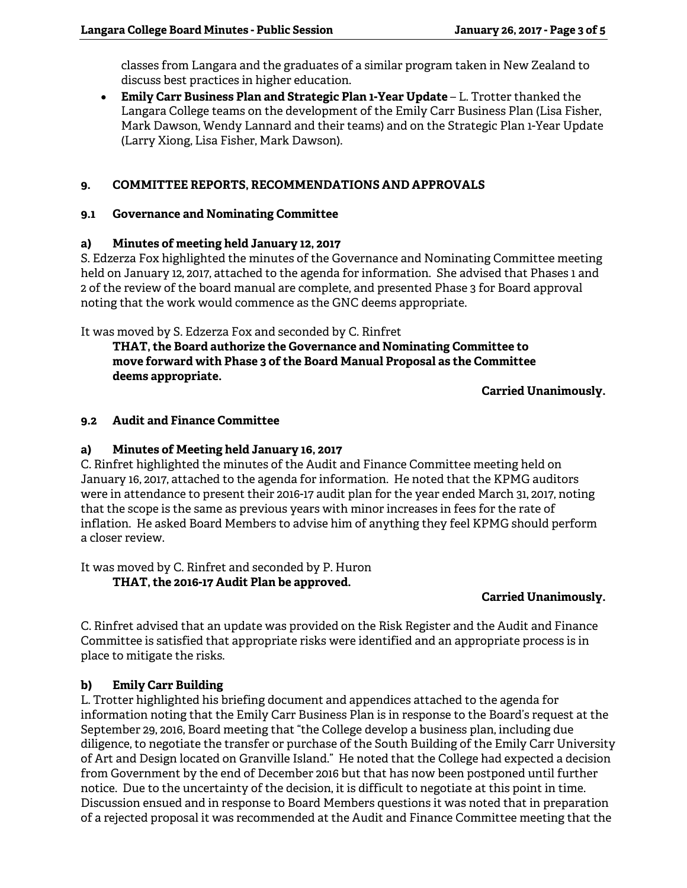classes from Langara and the graduates of a similar program taken in New Zealand to discuss best practices in higher education.

 **Emily Carr Business Plan and Strategic Plan 1-Year Update** – L. Trotter thanked the Langara College teams on the development of the Emily Carr Business Plan (Lisa Fisher, Mark Dawson, Wendy Lannard and their teams) and on the Strategic Plan 1-Year Update (Larry Xiong, Lisa Fisher, Mark Dawson).

## **9. COMMITTEE REPORTS, RECOMMENDATIONS AND APPROVALS**

#### **9.1 Governance and Nominating Committee**

#### **a) Minutes of meeting held January 12, 2017**

S. Edzerza Fox highlighted the minutes of the Governance and Nominating Committee meeting held on January 12, 2017, attached to the agenda for information. She advised that Phases 1 and 2 of the review of the board manual are complete, and presented Phase 3 for Board approval noting that the work would commence as the GNC deems appropriate.

It was moved by S. Edzerza Fox and seconded by C. Rinfret

### **THAT, the Board authorize the Governance and Nominating Committee to move forward with Phase 3 of the Board Manual Proposal as the Committee deems appropriate.**

**Carried Unanimously.** 

#### **9.2 Audit and Finance Committee**

#### **a) Minutes of Meeting held January 16, 2017**

C. Rinfret highlighted the minutes of the Audit and Finance Committee meeting held on January 16, 2017, attached to the agenda for information. He noted that the KPMG auditors were in attendance to present their 2016-17 audit plan for the year ended March 31, 2017, noting that the scope is the same as previous years with minor increases in fees for the rate of inflation. He asked Board Members to advise him of anything they feel KPMG should perform a closer review.

It was moved by C. Rinfret and seconded by P. Huron

## **THAT, the 2016-17 Audit Plan be approved.**

### **Carried Unanimously.**

C. Rinfret advised that an update was provided on the Risk Register and the Audit and Finance Committee is satisfied that appropriate risks were identified and an appropriate process is in place to mitigate the risks.

### **b) Emily Carr Building**

L. Trotter highlighted his briefing document and appendices attached to the agenda for information noting that the Emily Carr Business Plan is in response to the Board's request at the September 29, 2016, Board meeting that "the College develop a business plan, including due diligence, to negotiate the transfer or purchase of the South Building of the Emily Carr University of Art and Design located on Granville Island." He noted that the College had expected a decision from Government by the end of December 2016 but that has now been postponed until further notice. Due to the uncertainty of the decision, it is difficult to negotiate at this point in time. Discussion ensued and in response to Board Members questions it was noted that in preparation of a rejected proposal it was recommended at the Audit and Finance Committee meeting that the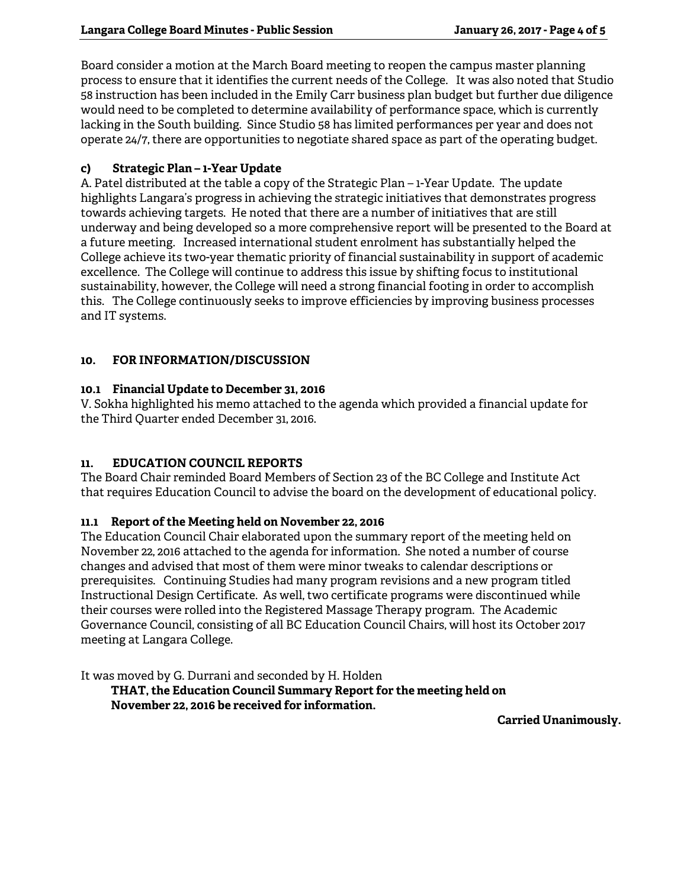Board consider a motion at the March Board meeting to reopen the campus master planning process to ensure that it identifies the current needs of the College. It was also noted that Studio 58 instruction has been included in the Emily Carr business plan budget but further due diligence would need to be completed to determine availability of performance space, which is currently lacking in the South building. Since Studio 58 has limited performances per year and does not operate 24/7, there are opportunities to negotiate shared space as part of the operating budget.

### **c) Strategic Plan – 1-Year Update**

A. Patel distributed at the table a copy of the Strategic Plan – 1-Year Update. The update highlights Langara's progress in achieving the strategic initiatives that demonstrates progress towards achieving targets. He noted that there are a number of initiatives that are still underway and being developed so a more comprehensive report will be presented to the Board at a future meeting. Increased international student enrolment has substantially helped the College achieve its two-year thematic priority of financial sustainability in support of academic excellence. The College will continue to address this issue by shifting focus to institutional sustainability, however, the College will need a strong financial footing in order to accomplish this. The College continuously seeks to improve efficiencies by improving business processes and IT systems.

### **10. FOR INFORMATION/DISCUSSION**

### **10.1 Financial Update to December 31, 2016**

V. Sokha highlighted his memo attached to the agenda which provided a financial update for the Third Quarter ended December 31, 2016.

## **11. EDUCATION COUNCIL REPORTS**

The Board Chair reminded Board Members of Section 23 of the BC College and Institute Act that requires Education Council to advise the board on the development of educational policy.

### **11.1 Report of the Meeting held on November 22, 2016**

The Education Council Chair elaborated upon the summary report of the meeting held on November 22, 2016 attached to the agenda for information. She noted a number of course changes and advised that most of them were minor tweaks to calendar descriptions or prerequisites. Continuing Studies had many program revisions and a new program titled Instructional Design Certificate. As well, two certificate programs were discontinued while their courses were rolled into the Registered Massage Therapy program. The Academic Governance Council, consisting of all BC Education Council Chairs, will host its October 2017 meeting at Langara College.

It was moved by G. Durrani and seconded by H. Holden

 **THAT, the Education Council Summary Report for the meeting held on November 22, 2016 be received for information.** 

**Carried Unanimously.**